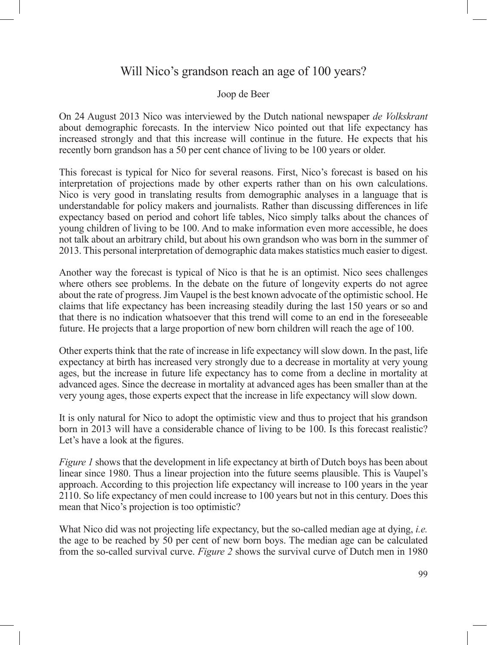## Will Nico's grandson reach an age of 100 years?

## Joop de Beer

On 24 August 2013 Nico was interviewed by the Dutch national newspaper *de Volkskrant*  about demographic forecasts. In the interview Nico pointed out that life expectancy has increased strongly and that this increase will continue in the future. He expects that his recently born grandson has a 50 per cent chance of living to be 100 years or older.

This forecast is typical for Nico for several reasons. First, Nico's forecast is based on his interpretation of projections made by other experts rather than on his own calculations. Nico is very good in translating results from demographic analyses in a language that is understandable for policy makers and journalists. Rather than discussing differences in life expectancy based on period and cohort life tables, Nico simply talks about the chances of young children of living to be 100. And to make information even more accessible, he does not talk about an arbitrary child, but about his own grandson who was born in the summer of 2013. This personal interpretation of demographic data makes statistics much easier to digest.

Another way the forecast is typical of Nico is that he is an optimist. Nico sees challenges where others see problems. In the debate on the future of longevity experts do not agree about the rate of progress. Jim Vaupel is the best known advocate of the optimistic school. He claims that life expectancy has been increasing steadily during the last 150 years or so and that there is no indication whatsoever that this trend will come to an end in the foreseeable future. He projects that a large proportion of new born children will reach the age of 100.

Other experts think that the rate of increase in life expectancy will slow down. In the past, life expectancy at birth has increased very strongly due to a decrease in mortality at very young ages, but the increase in future life expectancy has to come from a decline in mortality at advanced ages. Since the decrease in mortality at advanced ages has been smaller than at the very young ages, those experts expect that the increase in life expectancy will slow down.

It is only natural for Nico to adopt the optimistic view and thus to project that his grandson born in 2013 will have a considerable chance of living to be 100. Is this forecast realistic? Let's have a look at the figures.

*Figure 1* shows that the development in life expectancy at birth of Dutch boys has been about linear since 1980. Thus a linear projection into the future seems plausible. This is Vaupel's approach. According to this projection life expectancy will increase to 100 years in the year 2110. So life expectancy of men could increase to 100 years but not in this century. Does this mean that Nico's projection is too optimistic?

What Nico did was not projecting life expectancy, but the so-called median age at dying, *i.e.* the age to be reached by 50 per cent of new born boys. The median age can be calculated from the so-called survival curve. *Figure 2* shows the survival curve of Dutch men in 1980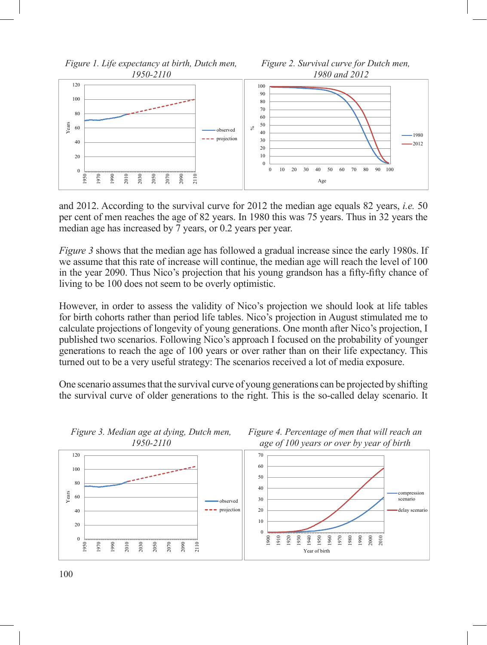

and 2012. According to the survival curve for 2012 the median age equals 82 years, *i.e.* 50 per cent of men reaches the age of 82 years. In 1980 this was 75 years. Thus in 32 years the median age has increased by 7 years, or 0.2 years per year.

*Figure 3* shows that the median age has followed a gradual increase since the early 1980s. If we assume that this rate of increase will continue, the median age will reach the level of 100 in the year 2090. Thus Nico's projection that his young grandson has a fifty-fifty chance of living to be 100 does not seem to be overly optimistic.

However, in order to assess the validity of Nico's projection we should look at life tables for birth cohorts rather than period life tables. Nico's projection in August stimulated me to calculate projections of longevity of young generations. One month after Nico's projection, I published two scenarios. Following Nico's approach I focused on the probability of younger generations to reach the age of 100 years or over rather than on their life expectancy. This turned out to be a very useful strategy: The scenarios received a lot of media exposure.

One scenario assumes that the survival curve of young generations can be projected by shifting the survival curve of older generations to the right. This is the so-called delay scenario. It



*Figure 3. Median age at dying, Dutch men,*